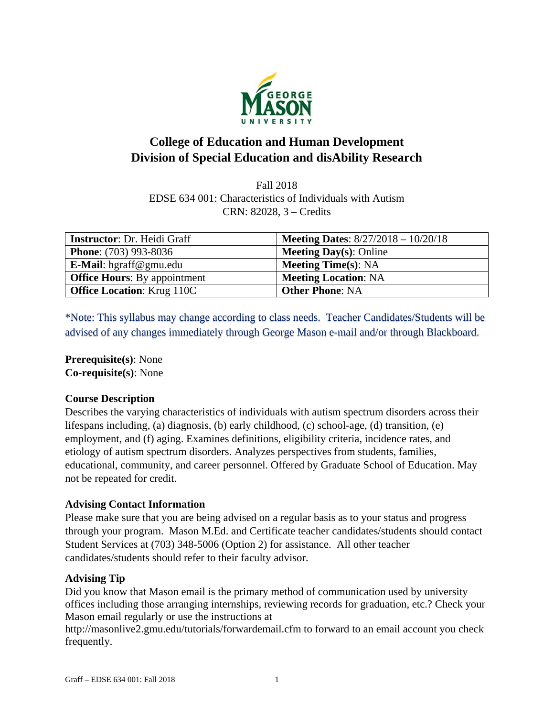

# **College of Education and Human Development Division of Special Education and disAbility Research**

Fall 2018 EDSE 634 001: Characteristics of Individuals with Autism CRN: 82028, 3 – Credits

| <b>Instructor: Dr. Heidi Graff</b>  | <b>Meeting Dates:</b> $8/27/2018 - 10/20/18$ |
|-------------------------------------|----------------------------------------------|
| <b>Phone:</b> (703) 993-8036        | <b>Meeting Day(s): Online</b>                |
| <b>E-Mail</b> : hgraff@gmu.edu      | <b>Meeting Time(s): NA</b>                   |
| <b>Office Hours:</b> By appointment | <b>Meeting Location: NA</b>                  |
| <b>Office Location: Krug 110C</b>   | <b>Other Phone: NA</b>                       |

\*Note: This syllabus may change according to class needs. Teacher Candidates/Students will be advised of any changes immediately through George Mason e-mail and/or through Blackboard.

**Prerequisite(s)**: None **Co-requisite(s)**: None

# **Course Description**

Describes the varying characteristics of individuals with autism spectrum disorders across their lifespans including, (a) diagnosis, (b) early childhood, (c) school-age, (d) transition, (e) employment, and (f) aging. Examines definitions, eligibility criteria, incidence rates, and etiology of autism spectrum disorders. Analyzes perspectives from students, families, educational, community, and career personnel. Offered by Graduate School of Education. May not be repeated for credit.

# **Advising Contact Information**

Please make sure that you are being advised on a regular basis as to your status and progress through your program. Mason M.Ed. and Certificate teacher candidates/students should contact Student Services at (703) 348-5006 (Option 2) for assistance. All other teacher candidates/students should refer to their faculty advisor.

#### **Advising Tip**

Did you know that Mason email is the primary method of communication used by university offices including those arranging internships, reviewing records for graduation, etc.? Check your Mason email regularly or use the instructions at

http://masonlive2.gmu.edu/tutorials/forwardemail.cfm to forward to an email account you check frequently.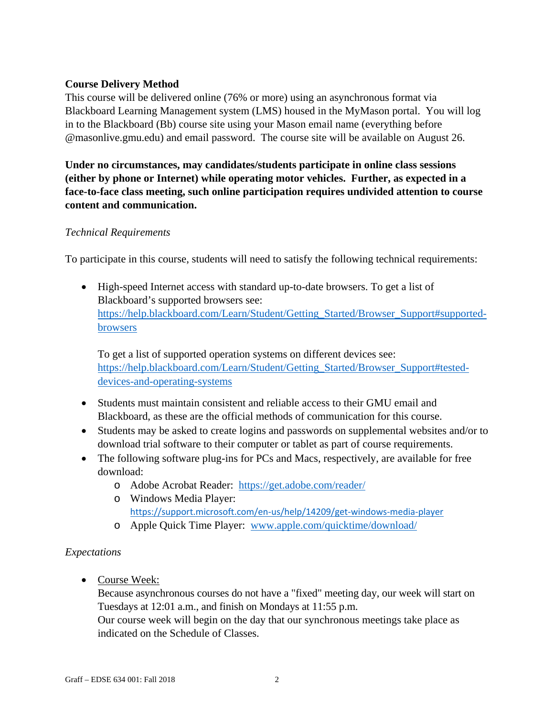# **Course Delivery Method**

This course will be delivered online (76% or more) using an asynchronous format via Blackboard Learning Management system (LMS) housed in the MyMason portal. You will log in to the Blackboard (Bb) course site using your Mason email name (everything before @masonlive.gmu.edu) and email password. The course site will be available on August 26.

**Under no circumstances, may candidates/students participate in online class sessions (either by phone or Internet) while operating motor vehicles. Further, as expected in a face-to-face class meeting, such online participation requires undivided attention to course content and communication.** 

#### *Technical Requirements*

To participate in this course, students will need to satisfy the following technical requirements:

 High-speed Internet access with standard up-to-date browsers. To get a list of Blackboard's supported browsers see: https://help.blackboard.com/Learn/Student/Getting\_Started/Browser\_Support#supportedbrowsers

To get a list of supported operation systems on different devices see: https://help.blackboard.com/Learn/Student/Getting\_Started/Browser\_Support#testeddevices-and-operating-systems

- Students must maintain consistent and reliable access to their GMU email and Blackboard, as these are the official methods of communication for this course.
- Students may be asked to create logins and passwords on supplemental websites and/or to download trial software to their computer or tablet as part of course requirements.
- The following software plug-ins for PCs and Macs, respectively, are available for free download:
	- o Adobe Acrobat Reader: https://get.adobe.com/reader/
	- o Windows Media Player: https://support.microsoft.com/en‐us/help/14209/get‐windows‐media‐player
	- o Apple Quick Time Player: www.apple.com/quicktime/download/

# *Expectations*

• Course Week:

Because asynchronous courses do not have a "fixed" meeting day, our week will start on Tuesdays at 12:01 a.m., and finish on Mondays at 11:55 p.m.

Our course week will begin on the day that our synchronous meetings take place as indicated on the Schedule of Classes.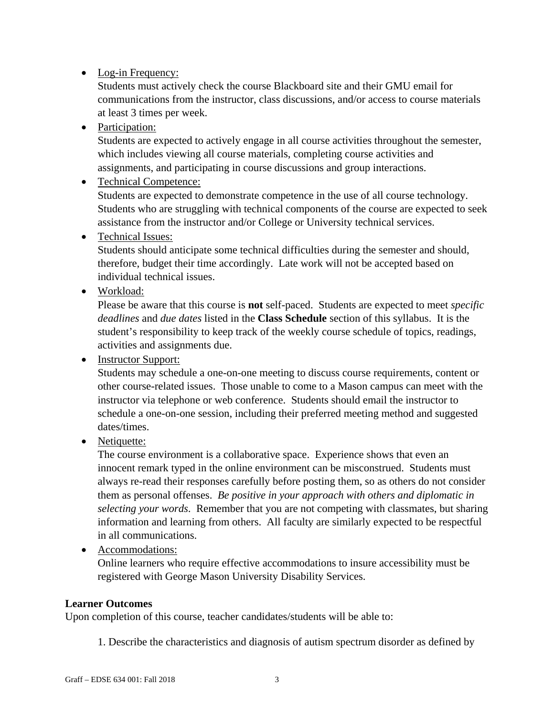# • Log-in Frequency:

Students must actively check the course Blackboard site and their GMU email for communications from the instructor, class discussions, and/or access to course materials at least 3 times per week.

• Participation:

Students are expected to actively engage in all course activities throughout the semester, which includes viewing all course materials, completing course activities and assignments, and participating in course discussions and group interactions.

# • Technical Competence:

Students are expected to demonstrate competence in the use of all course technology. Students who are struggling with technical components of the course are expected to seek assistance from the instructor and/or College or University technical services.

• Technical Issues:

Students should anticipate some technical difficulties during the semester and should, therefore, budget their time accordingly. Late work will not be accepted based on individual technical issues.

• Workload:

Please be aware that this course is **not** self-paced. Students are expected to meet *specific deadlines* and *due dates* listed in the **Class Schedule** section of this syllabus. It is the student's responsibility to keep track of the weekly course schedule of topics, readings, activities and assignments due.

• Instructor Support:

Students may schedule a one-on-one meeting to discuss course requirements, content or other course-related issues. Those unable to come to a Mason campus can meet with the instructor via telephone or web conference. Students should email the instructor to schedule a one-on-one session, including their preferred meeting method and suggested dates/times.

• Netiquette:

The course environment is a collaborative space. Experience shows that even an innocent remark typed in the online environment can be misconstrued. Students must always re-read their responses carefully before posting them, so as others do not consider them as personal offenses. *Be positive in your approach with others and diplomatic in selecting your words*. Remember that you are not competing with classmates, but sharing information and learning from others. All faculty are similarly expected to be respectful in all communications.

• Accommodations:

Online learners who require effective accommodations to insure accessibility must be registered with George Mason University Disability Services.

# **Learner Outcomes**

Upon completion of this course, teacher candidates/students will be able to:

1. Describe the characteristics and diagnosis of autism spectrum disorder as defined by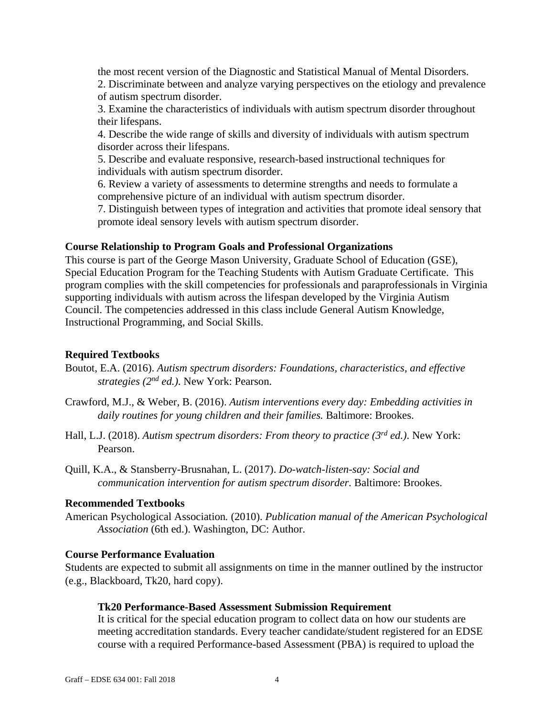the most recent version of the Diagnostic and Statistical Manual of Mental Disorders. 2. Discriminate between and analyze varying perspectives on the etiology and prevalence of autism spectrum disorder.

3. Examine the characteristics of individuals with autism spectrum disorder throughout their lifespans.

4. Describe the wide range of skills and diversity of individuals with autism spectrum disorder across their lifespans.

5. Describe and evaluate responsive, research-based instructional techniques for individuals with autism spectrum disorder.

6. Review a variety of assessments to determine strengths and needs to formulate a comprehensive picture of an individual with autism spectrum disorder.

7. Distinguish between types of integration and activities that promote ideal sensory that promote ideal sensory levels with autism spectrum disorder.

#### **Course Relationship to Program Goals and Professional Organizations**

This course is part of the George Mason University, Graduate School of Education (GSE), Special Education Program for the Teaching Students with Autism Graduate Certificate. This program complies with the skill competencies for professionals and paraprofessionals in Virginia supporting individuals with autism across the lifespan developed by the Virginia Autism Council. The competencies addressed in this class include General Autism Knowledge, Instructional Programming, and Social Skills.

#### **Required Textbooks**

- Boutot, E.A. (2016). *Autism spectrum disorders: Foundations, characteristics, and effective strategies (2nd ed.)*. New York: Pearson.
- Crawford, M.J., & Weber, B. (2016). *Autism interventions every day: Embedding activities in daily routines for young children and their families.* Baltimore: Brookes.
- Hall, L.J. (2018). *Autism spectrum disorders: From theory to practice (3rd ed.)*. New York: Pearson.
- Quill, K.A., & Stansberry-Brusnahan, L. (2017). *Do-watch-listen-say: Social and communication intervention for autism spectrum disorder.* Baltimore: Brookes.

#### **Recommended Textbooks**

American Psychological Association*.* (2010). *Publication manual of the American Psychological Association* (6th ed.). Washington, DC: Author.

#### **Course Performance Evaluation**

Students are expected to submit all assignments on time in the manner outlined by the instructor (e.g., Blackboard, Tk20, hard copy).

#### **Tk20 Performance-Based Assessment Submission Requirement**

It is critical for the special education program to collect data on how our students are meeting accreditation standards. Every teacher candidate/student registered for an EDSE course with a required Performance-based Assessment (PBA) is required to upload the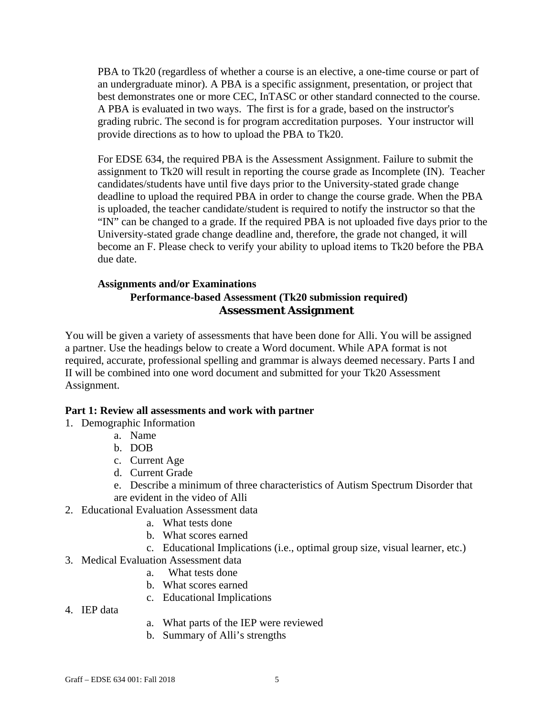PBA to Tk20 (regardless of whether a course is an elective, a one-time course or part of an undergraduate minor). A PBA is a specific assignment, presentation, or project that best demonstrates one or more CEC, InTASC or other standard connected to the course. A PBA is evaluated in two ways. The first is for a grade, based on the instructor's grading rubric. The second is for program accreditation purposes. Your instructor will provide directions as to how to upload the PBA to Tk20.

For EDSE 634, the required PBA is the Assessment Assignment. Failure to submit the assignment to Tk20 will result in reporting the course grade as Incomplete (IN). Teacher candidates/students have until five days prior to the University-stated grade change deadline to upload the required PBA in order to change the course grade. When the PBA is uploaded, the teacher candidate/student is required to notify the instructor so that the "IN" can be changed to a grade. If the required PBA is not uploaded five days prior to the University-stated grade change deadline and, therefore, the grade not changed, it will become an F. Please check to verify your ability to upload items to Tk20 before the PBA due date.

## **Assignments and/or Examinations Performance-based Assessment (Tk20 submission required) Assessment Assignment**

You will be given a variety of assessments that have been done for Alli. You will be assigned a partner. Use the headings below to create a Word document. While APA format is not required, accurate, professional spelling and grammar is always deemed necessary. Parts I and II will be combined into one word document and submitted for your Tk20 Assessment Assignment.

#### **Part 1: Review all assessments and work with partner**

- 1. Demographic Information
	- a. Name
	- b. DOB
	- c. Current Age
	- d. Current Grade
	- e. Describe a minimum of three characteristics of Autism Spectrum Disorder that are evident in the video of Alli
- 2. Educational Evaluation Assessment data
	- a. What tests done
	- b. What scores earned
	- c. Educational Implications (i.e., optimal group size, visual learner, etc.)
- 3. Medical Evaluation Assessment data
	- a. What tests done
	- b. What scores earned
	- c. Educational Implications
- 4. IEP data
- a. What parts of the IEP were reviewed
- b. Summary of Alli's strengths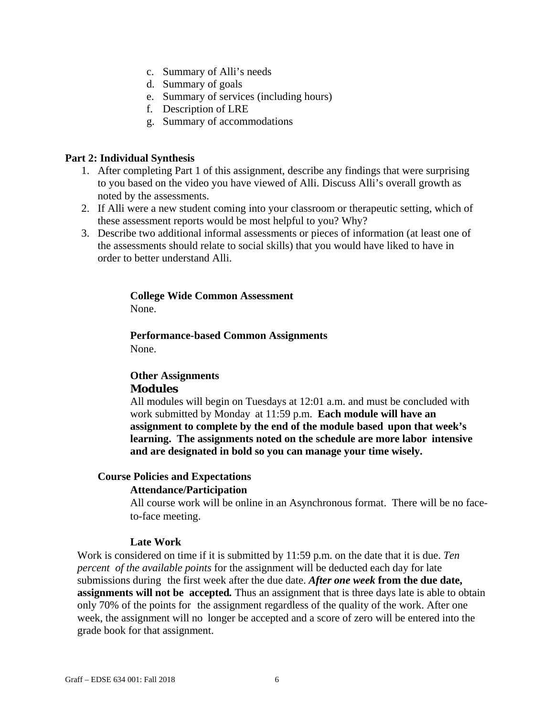- c. Summary of Alli's needs
- d. Summary of goals
- e. Summary of services (including hours)
- f. Description of LRE
- g. Summary of accommodations

#### **Part 2: Individual Synthesis**

- 1. After completing Part 1 of this assignment, describe any findings that were surprising to you based on the video you have viewed of Alli. Discuss Alli's overall growth as noted by the assessments.
- 2. If Alli were a new student coming into your classroom or therapeutic setting, which of these assessment reports would be most helpful to you? Why?
- 3. Describe two additional informal assessments or pieces of information (at least one of the assessments should relate to social skills) that you would have liked to have in order to better understand Alli.

# **College Wide Common Assessment**

None.

**Performance-based Common Assignments**  None.

## **Other Assignments Modules**

All modules will begin on Tuesdays at 12:01 a.m. and must be concluded with work submitted by Monday at 11:59 p.m. **Each module will have an assignment to complete by the end of the module based upon that week's learning. The assignments noted on the schedule are more labor intensive and are designated in bold so you can manage your time wisely.**

#### **Course Policies and Expectations**

#### **Attendance/Participation**

All course work will be online in an Asynchronous format. There will be no faceto-face meeting.

#### **Late Work**

Work is considered on time if it is submitted by 11:59 p.m. on the date that it is due. *Ten percent of the available points* for the assignment will be deducted each day for late submissions during the first week after the due date. *After one week* **from the due date, assignments will not be accepted***.* Thus an assignment that is three days late is able to obtain only 70% of the points for the assignment regardless of the quality of the work. After one week, the assignment will no longer be accepted and a score of zero will be entered into the grade book for that assignment.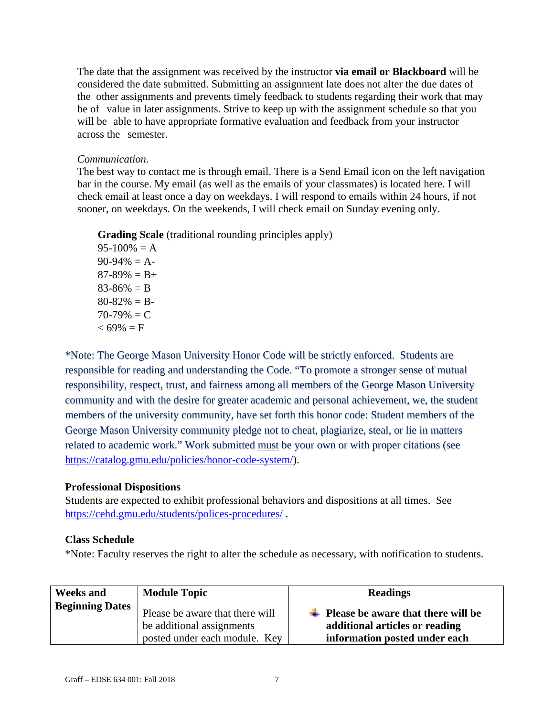The date that the assignment was received by the instructor **via email or Blackboard** will be considered the date submitted. Submitting an assignment late does not alter the due dates of the other assignments and prevents timely feedback to students regarding their work that may be of value in later assignments. Strive to keep up with the assignment schedule so that you will be able to have appropriate formative evaluation and feedback from your instructor across the semester.

#### *Communication*.

The best way to contact me is through email. There is a Send Email icon on the left navigation bar in the course. My email (as well as the emails of your classmates) is located here. I will check email at least once a day on weekdays. I will respond to emails within 24 hours, if not sooner, on weekdays. On the weekends, I will check email on Sunday evening only.

**Grading Scale** (traditional rounding principles apply)

 $95-100\% = A$  $90-94\% = A$  $87-89\% = B+$  $83-86\% = B$  $80-82\% = B$  $70-79\% = C$  $< 69\% = F$ 

\*Note: The George Mason University Honor Code will be strictly enforced. Students are responsible for reading and understanding the Code. "To promote a stronger sense of mutual responsibility, respect, trust, and fairness among all members of the George Mason University community and with the desire for greater academic and personal achievement, we, the student members of the university community, have set forth this honor code: Student members of the George Mason University community pledge not to cheat, plagiarize, steal, or lie in matters related to academic work." Work submitted must be your own or with proper citations (see https://catalog.gmu.edu/policies/honor-code-system/).

# **Professional Dispositions**

Students are expected to exhibit professional behaviors and dispositions at all times. See https://cehd.gmu.edu/students/polices-procedures/ .

# **Class Schedule**

\*Note: Faculty reserves the right to alter the schedule as necessary, with notification to students.

| <b>Weeks and</b>       | <b>Module Topic</b>                                                                           | <b>Readings</b>                                                                                                    |
|------------------------|-----------------------------------------------------------------------------------------------|--------------------------------------------------------------------------------------------------------------------|
| <b>Beginning Dates</b> | Please be aware that there will<br>be additional assignments<br>posted under each module. Key | $\downarrow$ Please be aware that there will be<br>additional articles or reading<br>information posted under each |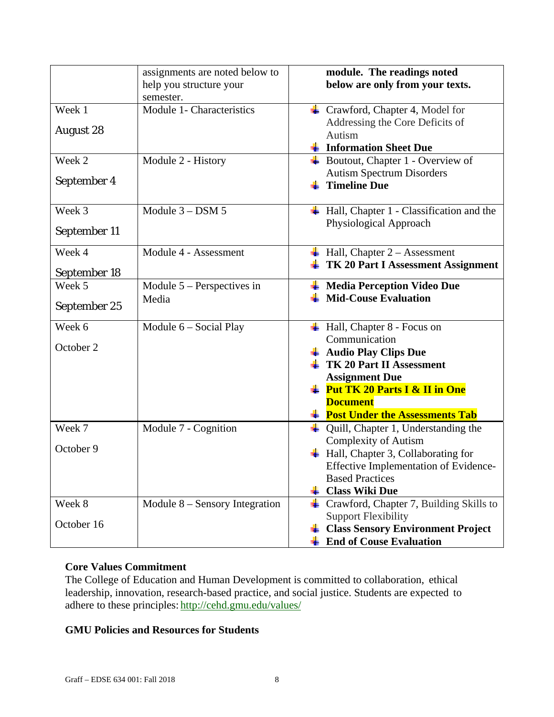|                        | assignments are noted below to<br>help you structure your<br>semester. | module. The readings noted<br>below are only from your texts.                      |
|------------------------|------------------------------------------------------------------------|------------------------------------------------------------------------------------|
| Week 1                 | Module 1- Characteristics                                              | $\leftarrow$ Crawford, Chapter 4, Model for                                        |
| <b>August 28</b>       |                                                                        | Addressing the Core Deficits of                                                    |
|                        |                                                                        | Autism<br><b>Example 1 Information Sheet Due</b>                                   |
| Week 2                 | Module 2 - History                                                     | $\overline{\phantom{a}}$ Boutout, Chapter 1 - Overview of                          |
|                        |                                                                        | <b>Autism Spectrum Disorders</b>                                                   |
| September 4            |                                                                        | <b>Timeline Due</b>                                                                |
| Week 3                 | Module $3 -$ DSM $5$                                                   | Hall, Chapter 1 - Classification and the                                           |
|                        |                                                                        | Physiological Approach                                                             |
| September 11           |                                                                        |                                                                                    |
| Week 4                 | Module 4 - Assessment                                                  | $\overline{\phantom{a}}$ Hall, Chapter 2 – Assessment                              |
|                        |                                                                        | $\overline{\textbf{+}}$ TK 20 Part I Assessment Assignment                         |
| September 18<br>Week 5 | Module $5$ – Perspectives in                                           | <b>Media Perception Video Due</b>                                                  |
|                        | Media                                                                  | <b>Mid-Couse Evaluation</b>                                                        |
| September 25           |                                                                        |                                                                                    |
| Week 6                 | Module 6 - Social Play                                                 | $\overline{\phantom{a}+}$ Hall, Chapter 8 - Focus on                               |
|                        |                                                                        | Communication                                                                      |
| October 2              |                                                                        | $\overline{\phantom{a}}$ Audio Play Clips Due                                      |
|                        |                                                                        | <b>TK 20 Part II Assessment</b>                                                    |
|                        |                                                                        | <b>Assignment Due</b>                                                              |
|                        |                                                                        | $\frac{1}{2}$ Put TK 20 Parts I & II in One                                        |
|                        |                                                                        | <b>Document</b>                                                                    |
|                        |                                                                        | <b>Example 1</b> Post Under the Assessments Tab                                    |
| Week 7                 | Module 7 - Cognition                                                   | Quill, Chapter 1, Understanding the                                                |
| October 9              |                                                                        | <b>Complexity of Autism</b>                                                        |
|                        |                                                                        | Hall, Chapter 3, Collaborating for<br><b>Effective Implementation of Evidence-</b> |
|                        |                                                                        | <b>Based Practices</b>                                                             |
|                        |                                                                        | <b>Class Wiki Due</b>                                                              |
| Week 8                 | Module $8 -$ Sensory Integration                                       | $\overline{\phantom{a}}$ Crawford, Chapter 7, Building Skills to                   |
|                        |                                                                        | <b>Support Flexibility</b>                                                         |
| October 16             |                                                                        | <b>Class Sensory Environment Project</b>                                           |
|                        |                                                                        | <b>End of Couse Evaluation</b>                                                     |

# **Core Values Commitment**

The College of Education and Human Development is committed to collaboration, ethical leadership, innovation, research-based practice, and social justice. Students are expected to adhere to these principles: http://cehd.gmu.edu/values/

### **GMU Policies and Resources for Students**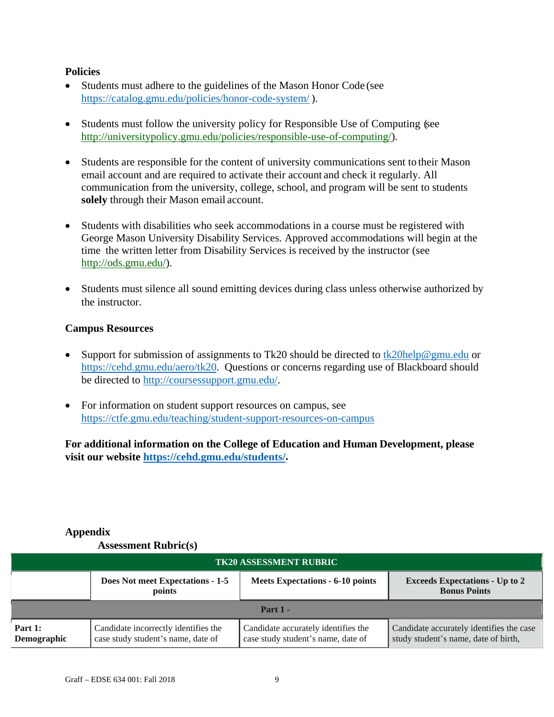#### **Policies**

- Students must adhere to the guidelines of the Mason Honor Code (see https://catalog.gmu.edu/policies/honor-code-system/ ).
- Students must follow the university policy for Responsible Use of Computing (see http://universitypolicy.gmu.edu/policies/responsible-use-of-computing/).
- Students are responsible for the content of university communications sent to their Mason email account and are required to activate their account and check it regularly. All communication from the university, college, school, and program will be sent to students **solely** through their Mason email account.
- Students with disabilities who seek accommodations in a course must be registered with George Mason University Disability Services. Approved accommodations will begin at the time the written letter from Disability Services is received by the instructor (see http://ods.gmu.edu/).
- Students must silence all sound emitting devices during class unless otherwise authorized by the instructor.

#### **Campus Resources**

- Support for submission of assignments to Tk20 should be directed to tk20help@gmu.edu or https://cehd.gmu.edu/aero/tk20. Questions or concerns regarding use of Blackboard should be directed to http://coursessupport.gmu.edu/.
- For information on student support resources on campus, see https://ctfe.gmu.edu/teaching/student-support-resources-on-campus

**For additional information on the College of Education and Human Development, please visit our website https://cehd.gmu.edu/students/.** 

# **Appendix**

#### **Assessment Rubric(s)**

| <b>TK20 ASSESSMENT RUBRIC</b> |                                                                            |                                                                           |                                                                                  |
|-------------------------------|----------------------------------------------------------------------------|---------------------------------------------------------------------------|----------------------------------------------------------------------------------|
|                               | Does Not meet Expectations - 1-5<br>points                                 | Meets Expectations - 6-10 points                                          | <b>Exceeds Expectations - Up to 2</b><br><b>Bonus Points</b>                     |
| Part $1 -$                    |                                                                            |                                                                           |                                                                                  |
| Part 1:<br>Demographic        | Candidate incorrectly identifies the<br>case study student's name, date of | Candidate accurately identifies the<br>case study student's name, date of | Candidate accurately identifies the case<br>study student's name, date of birth, |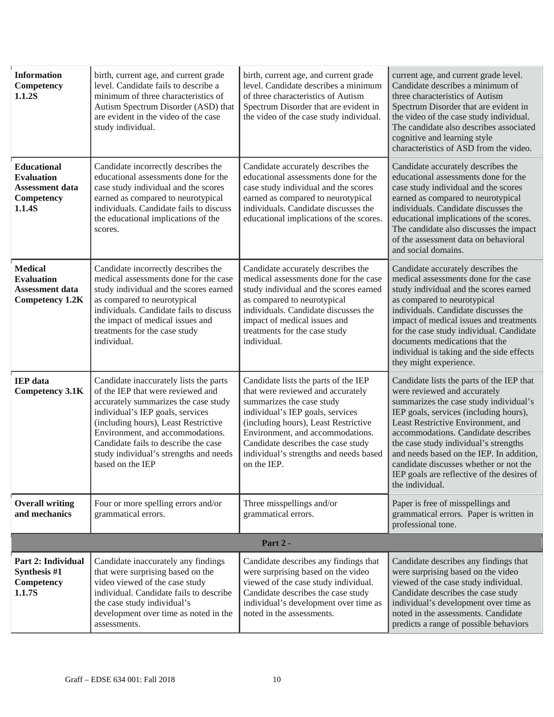| <b>Information</b><br>Competency<br>1.1.2S                                              | birth, current age, and current grade<br>level. Candidate fails to describe a<br>minimum of three characteristics of<br>Autism Spectrum Disorder (ASD) that<br>are evident in the video of the case<br>study individual.                                                                                                                  | birth, current age, and current grade<br>level. Candidate describes a minimum<br>of three characteristics of Autism<br>Spectrum Disorder that are evident in<br>the video of the case study individual.                                                                                                               | current age, and current grade level.<br>Candidate describes a minimum of<br>three characteristics of Autism<br>Spectrum Disorder that are evident in<br>the video of the case study individual.<br>The candidate also describes associated<br>cognitive and learning style<br>characteristics of ASD from the video.                                                                                                                      |
|-----------------------------------------------------------------------------------------|-------------------------------------------------------------------------------------------------------------------------------------------------------------------------------------------------------------------------------------------------------------------------------------------------------------------------------------------|-----------------------------------------------------------------------------------------------------------------------------------------------------------------------------------------------------------------------------------------------------------------------------------------------------------------------|--------------------------------------------------------------------------------------------------------------------------------------------------------------------------------------------------------------------------------------------------------------------------------------------------------------------------------------------------------------------------------------------------------------------------------------------|
| <b>Educational</b><br><b>Evaluation</b><br>Assessment data<br>Competency<br>1.1.4S      | Candidate incorrectly describes the<br>educational assessments done for the<br>case study individual and the scores<br>earned as compared to neurotypical<br>individuals. Candidate fails to discuss<br>the educational implications of the<br>scores.                                                                                    | Candidate accurately describes the<br>educational assessments done for the<br>case study individual and the scores<br>earned as compared to neurotypical<br>individuals. Candidate discusses the<br>educational implications of the scores.                                                                           | Candidate accurately describes the<br>educational assessments done for the<br>case study individual and the scores<br>earned as compared to neurotypical<br>individuals. Candidate discusses the<br>educational implications of the scores.<br>The candidate also discusses the impact<br>of the assessment data on behavioral<br>and social domains.                                                                                      |
| <b>Medical</b><br><b>Evaluation</b><br><b>Assessment data</b><br><b>Competency 1.2K</b> | Candidate incorrectly describes the<br>medical assessments done for the case<br>study individual and the scores earned<br>as compared to neurotypical<br>individuals. Candidate fails to discuss<br>the impact of medical issues and<br>treatments for the case study<br>individual.                                                      | Candidate accurately describes the<br>medical assessments done for the case<br>study individual and the scores earned<br>as compared to neurotypical<br>individuals. Candidate discusses the<br>impact of medical issues and<br>treatments for the case study<br>individual.                                          | Candidate accurately describes the<br>medical assessments done for the case<br>study individual and the scores earned<br>as compared to neurotypical<br>individuals. Candidate discusses the<br>impact of medical issues and treatments<br>for the case study individual. Candidate<br>documents medications that the<br>individual is taking and the side effects<br>they might experience.                                               |
| <b>IEP</b> data<br><b>Competency 3.1K</b>                                               | Candidate inaccurately lists the parts<br>of the IEP that were reviewed and<br>accurately summarizes the case study<br>individual's IEP goals, services<br>(including hours), Least Restrictive<br>Environment, and accommodations.<br>Candidate fails to describe the case<br>study individual's strengths and needs<br>based on the IEP | Candidate lists the parts of the IEP<br>that were reviewed and accurately<br>summarizes the case study<br>individual's IEP goals, services<br>(including hours), Least Restrictive<br>Environment, and accommodations.<br>Candidate describes the case study<br>individual's strengths and needs based<br>on the IEP. | Candidate lists the parts of the IEP that<br>were reviewed and accurately<br>summarizes the case study individual's<br>IEP goals, services (including hours),<br>Least Restrictive Environment, and<br>accommodations. Candidate describes<br>the case study individual's strengths<br>and needs based on the IEP. In addition,<br>candidate discusses whether or not the<br>IEP goals are reflective of the desires of<br>the individual. |
| <b>Overall writing</b><br>and mechanics                                                 | Four or more spelling errors and/or<br>grammatical errors.                                                                                                                                                                                                                                                                                | Three misspellings and/or<br>grammatical errors.                                                                                                                                                                                                                                                                      | Paper is free of misspellings and<br>grammatical errors. Paper is written in<br>professional tone.                                                                                                                                                                                                                                                                                                                                         |
| Part 2 -                                                                                |                                                                                                                                                                                                                                                                                                                                           |                                                                                                                                                                                                                                                                                                                       |                                                                                                                                                                                                                                                                                                                                                                                                                                            |
| Part 2: Individual<br>Synthesis #1<br>Competency<br>1.1.7S                              | Candidate inaccurately any findings<br>that were surprising based on the<br>video viewed of the case study<br>individual. Candidate fails to describe<br>the case study individual's<br>development over time as noted in the<br>assessments.                                                                                             | Candidate describes any findings that<br>were surprising based on the video<br>viewed of the case study individual.<br>Candidate describes the case study<br>individual's development over time as<br>noted in the assessments.                                                                                       | Candidate describes any findings that<br>were surprising based on the video<br>viewed of the case study individual.<br>Candidate describes the case study<br>individual's development over time as<br>noted in the assessments. Candidate<br>predicts a range of possible behaviors                                                                                                                                                        |